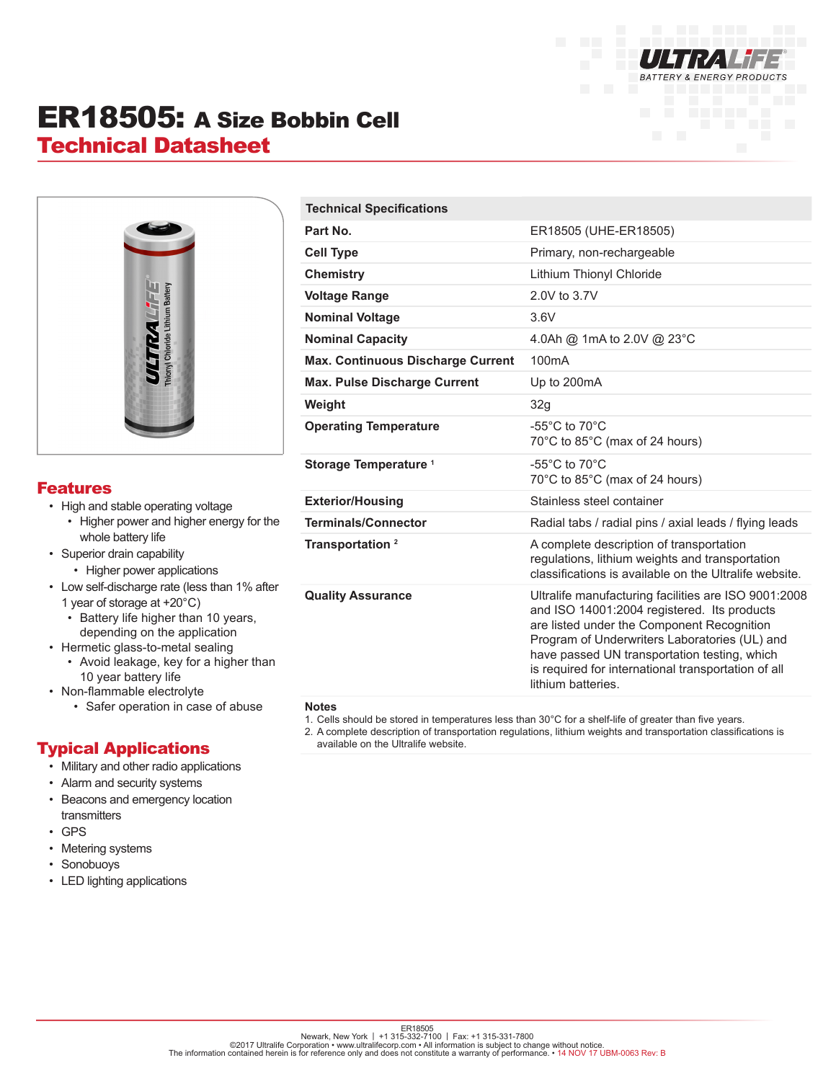

# ER18505: A Size Bobbin Cell Technical Datasheet



### Features

- High and stable operating voltage
	- Higher power and higher energy for the whole battery life
- Superior drain capability
	- Higher power applications
- Low self-discharge rate (less than 1% after 1 year of storage at +20°C)
	- Battery life higher than 10 years, depending on the application
- Hermetic glass-to-metal sealing
	- Avoid leakage, key for a higher than 10 year battery life
- Non-flammable electrolyte
	- Safer operation in case of abuse

## Typical Applications

- Military and other radio applications
- Alarm and security systems
- Beacons and emergency location transmitters
- GPS
- Metering systems
- Sonobuoys
- LED lighting applications

| ER18505 (UHE-ER18505)                                                                                                                                                                                                                                                                                                           |
|---------------------------------------------------------------------------------------------------------------------------------------------------------------------------------------------------------------------------------------------------------------------------------------------------------------------------------|
| Primary, non-rechargeable                                                                                                                                                                                                                                                                                                       |
| Lithium Thionyl Chloride                                                                                                                                                                                                                                                                                                        |
| 2.0V to 3.7V                                                                                                                                                                                                                                                                                                                    |
| 3.6V                                                                                                                                                                                                                                                                                                                            |
| 4.0Ah @ 1mA to 2.0V @ 23°C                                                                                                                                                                                                                                                                                                      |
| 100mA                                                                                                                                                                                                                                                                                                                           |
| Up to 200mA                                                                                                                                                                                                                                                                                                                     |
| 32g                                                                                                                                                                                                                                                                                                                             |
| -55 $^{\circ}$ C to 70 $^{\circ}$ C<br>70°C to 85°C (max of 24 hours)                                                                                                                                                                                                                                                           |
| $-55^{\circ}$ C to $70^{\circ}$ C<br>70°C to 85°C (max of 24 hours)                                                                                                                                                                                                                                                             |
| Stainless steel container                                                                                                                                                                                                                                                                                                       |
| Radial tabs / radial pins / axial leads / flying leads                                                                                                                                                                                                                                                                          |
| A complete description of transportation<br>regulations, lithium weights and transportation<br>classifications is available on the Ultralife website.                                                                                                                                                                           |
| Ultralife manufacturing facilities are ISO 9001:2008<br>and ISO 14001:2004 registered. Its products<br>are listed under the Component Recognition<br>Program of Underwriters Laboratories (UL) and<br>have passed UN transportation testing, which<br>is required for international transportation of all<br>lithium batteries. |
|                                                                                                                                                                                                                                                                                                                                 |

#### **Notes**

- 1. Cells should be stored in temperatures less than 30°C for a shelf-life of greater than five years.
- 2. A complete description of transportation regulations, lithium weights and transportation classifications is available on the Ultralife website.